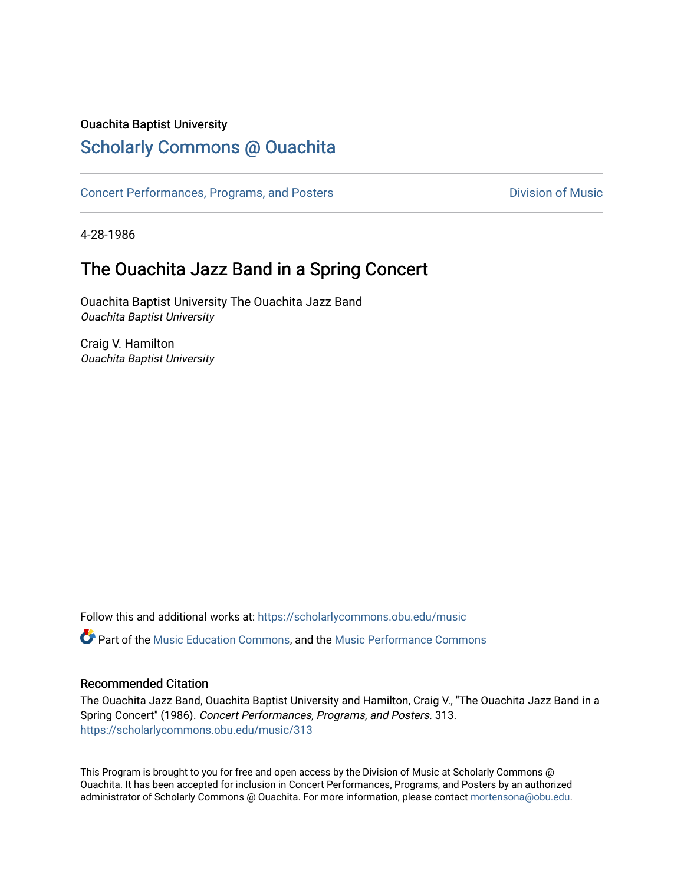#### Ouachita Baptist University

### [Scholarly Commons @ Ouachita](https://scholarlycommons.obu.edu/)

[Concert Performances, Programs, and Posters](https://scholarlycommons.obu.edu/music) **Division of Music** Division of Music

4-28-1986

## The Ouachita Jazz Band in a Spring Concert

Ouachita Baptist University The Ouachita Jazz Band Ouachita Baptist University

Craig V. Hamilton Ouachita Baptist University

Follow this and additional works at: [https://scholarlycommons.obu.edu/music](https://scholarlycommons.obu.edu/music?utm_source=scholarlycommons.obu.edu%2Fmusic%2F313&utm_medium=PDF&utm_campaign=PDFCoverPages) 

**C** Part of the [Music Education Commons,](http://network.bepress.com/hgg/discipline/1246?utm_source=scholarlycommons.obu.edu%2Fmusic%2F313&utm_medium=PDF&utm_campaign=PDFCoverPages) and the Music Performance Commons

#### Recommended Citation

The Ouachita Jazz Band, Ouachita Baptist University and Hamilton, Craig V., "The Ouachita Jazz Band in a Spring Concert" (1986). Concert Performances, Programs, and Posters. 313. [https://scholarlycommons.obu.edu/music/313](https://scholarlycommons.obu.edu/music/313?utm_source=scholarlycommons.obu.edu%2Fmusic%2F313&utm_medium=PDF&utm_campaign=PDFCoverPages) 

This Program is brought to you for free and open access by the Division of Music at Scholarly Commons @ Ouachita. It has been accepted for inclusion in Concert Performances, Programs, and Posters by an authorized administrator of Scholarly Commons @ Ouachita. For more information, please contact [mortensona@obu.edu](mailto:mortensona@obu.edu).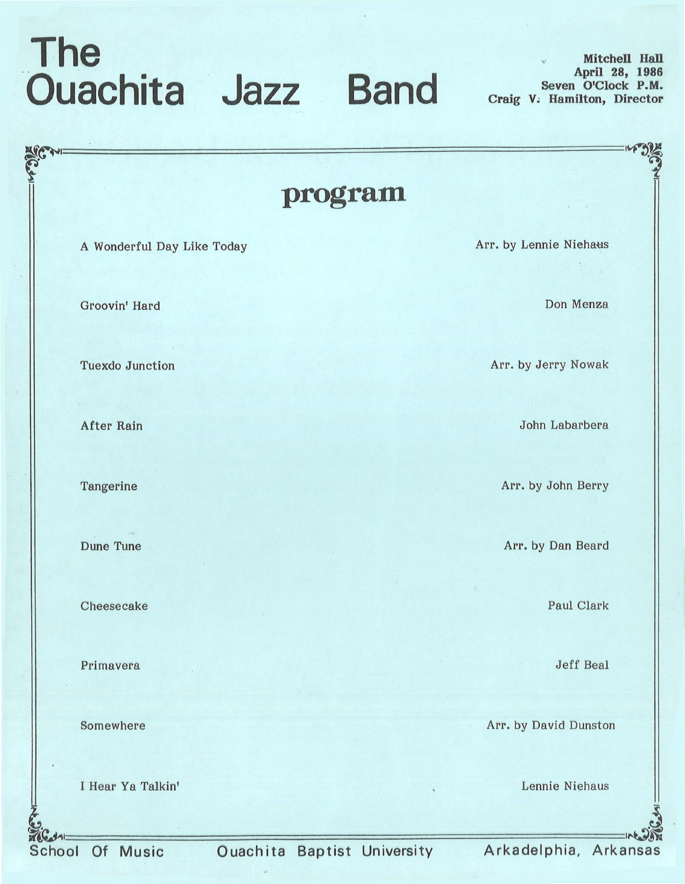## **The Ouachita Jazz Band** Seven O'Clock P.M.

**Mitchell Hall Seven O'Clock P.M. Craig V; Hamilton, Director**